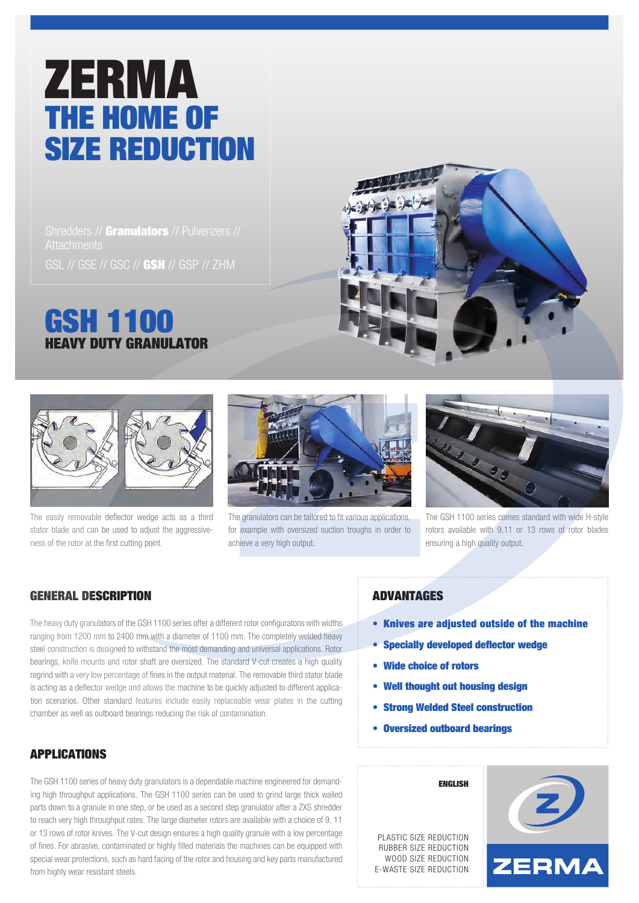# ZERMA THE HOME OF SIZE REDUCTION

Shredders // Granulators // Pulverizers // GSL // GSE // GSC // GSH // GSP // ZHM

# GSH 1100 HEAVY DUTY GRANULATOR





The easily removable deflector wedge acts as a third stator blade and can be used to adjust the aggressiveness of the rotor at the first cutting point.



The granulators can be tailored to fit various applications, for example with oversized suction troughs in order to achieve a very high output.



The GSH 1100 series comes standard with wide H-style rotors available with 9,11 or 13 rows of rotor blades ensuring a high quality output.

## GENERAL DESCRIPTION

The heavy duty granulators of the GSH 1100 series offer a different rotor configuratons with widths ranging from 1200 mm to 2400 mm with a diameter of 1100 mm. The completely welded heavy steel construction is designed to withstand the most demanding and universal applications. Rotor bearings, knife mounts and rotor shaft are oversized. The standard V-cut creates a high quality regrind with a very low percentage of fines in the output material. The removable third stator blade is acting as a deflector wedge and allows the machine to be quickly adjusted to different application scenarios. Other standard features include easily replaceable wear plates in the cutting chamber as well as outboard bearings reducing the risk of contamination.

# APPLICATIONS

The GSH 1100 series of heavy duty granulators is a dependable machine engineered for demanding high throughput applications. The GSH 1100 series can be used to grind large thick walled parts down to a granule in one step, or be used as a second step granulator after a ZXS shredder to reach very high throughput rates. The large diameter rotors are available with a choice of 9, 11 or 13 rows of rotor knives. The V-cut design ensures a high quality granule with a low percentage of fines. For abrasive, contaminated or highly filled materials the machines can be equipped with special wear protections, such as hard facing of the rotor and housing and key parts manufactured from highly wear resistant steels.

#### ADVANTAGES

- Knives are adjusted outside of the machine
- Specially developed deflector wedge
- Wide choice of rotors

PLASTIC SIZE REDUCTION RUBBER SIZE REDUCTION WOOD SIZE REDUCTION E-WASTE SIZE REDUCTION

- Well thought out housing design
- Strong Welded Steel construction

ENGLISH

• Oversized outboard bearings